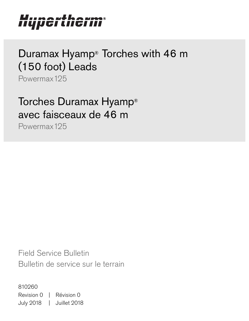#### Uirnauthaums ПЧРСІ Ш  $\overline{\mathbf{u}}$  ,

# Duramax Hyamp® Torches with 46 m (150 foot) Leads

Powermax125

Torches Duramax Hyamp® avec faisceaux de 46 m

Powermax125

Field Service Bulletin Bulletin de service sur le terrain

810260 Revision 0 | Révision 0 July 2018 | Juillet 2018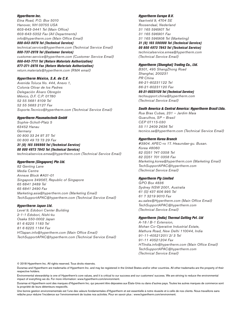#### Hypertherm Inc.

Etna Road, P.O. Box 5010 Hanover, NH 03755 USA 603-643-3441 Tel (Main Office) 603-643-5352 Fax (All Departments) info@hypertherm.com (Main Office Email)

800-643-9878 Tel (Technical Service) technical.service@hypertherm.com (Technical Service Email)

800-737-2978 Tel (Customer Service) customer.service@hypertherm.com (Customer Service Email) 866-643-7711 Tel (Return Materials Authorization)

877-371-2876 Fax (Return Materials Authorization) return.materials@hypertherm.com (RMA email)

#### Hypertherm México, S.A. de C.V.

Avenida Toluca No. 444, Anexo 1, Colonia Olivar de los Padres Delegación Álvaro Obregón México, D.F. C.P. 01780 52 55 5681 8109 Tel 52 55 5683 2127 Fax Soporte.Tecnico@hypertherm.com (Technical Service Email)

#### Hypertherm Plasmatechnik GmbH

Sophie-Scholl-Platz 5 63452 Hanau **Germany** 00 800 33 24 97 37 Tel 00 800 49 73 73 29 Fax

#### 31 (0) 165 596900 Tel (Technical Service)

00 800 4973 7843 Tel (Technical Service) technicalservice.emea@hypertherm.com (Technical Service Email)

#### Hypertherm (Singapore) Pte Ltd.

82 Genting Lane Media Centre Annexe Block #A01-01 Singapore 349567, Republic of Singapore 65 6841 2489 Tel 65 6841 2490 Fax Marketing.asia@hypertherm.com (Marketing Email) TechSupportAPAC@hypertherm.com (Technical Service Email)

#### Hypertherm Japan Ltd.

Level 9, Edobori Center Building 2-1-1 Edobori, Nishi-ku Osaka 550-0002 Japan 81 6 6225 1183 Tel 81 6 6225 1184 Fax HTJapan.info@hypertherm.com (Main Office Email) TechSupportAPAC@hypertherm.com (Technical Service Email)

#### Hypertherm Europe B.V.

Vaartveld 9, 4704 SE Roosendaal, Nederland 31 165 596907 Tel 31 165 596901 Fax 31 165 596908 Tel (Marketing) 31 (0) 165 596900 Tel (Technical Service)

00 800 4973 7843 Tel (Technical Service)

technicalservice.emea@hypertherm.com (Technical Service Email)

#### Hypertherm (Shanghai) Trading Co., Ltd.

B301, 495 ShangZhong Road Shanghai, 200231 PR China 86-21-80231122 Tel 86-21-80231120 Fax

86-21-80231128 Tel (Technical Service)

techsupport.china@hypertherm.com (Technical Service Email)

#### South America & Central America: Hypertherm Brasil Ltda.

Rua Bras Cubas, 231 – Jardim Maia Guarulhos, SP – Brasil CEP 07115-030 55 11 2409 2636 Tel tecnico.sa@hypertherm.com (Technical Service Email)

#### Hypertherm Korea Branch

#3904. APEC-ro 17. Heaundae-gu. Busan. Korea 48060 82 (0)51 747 0358 Tel 82 (0)51 701 0358 Fax Marketing.korea@hypertherm.com (Marketing Email) TechSupportAPAC@hypertherm.com (Technical Service Email)

#### Hypertherm Pty Limited

GPO Box 4836 Sydney NSW 2001, Australia 61 (0) 437 606 995 Tel 61 7 3219 9010 Fax au.sales@Hypertherm.com (Main Office Email) TechSupportAPAC@hypertherm.com (Technical Service Email)

#### Hypertherm (India) Thermal Cutting Pvt. Ltd

A-18 / B-1 Extension, Mohan Co-Operative Industrial Estate, Mathura Road, New Delhi 110044, India 91-11-40521201/ 2/ 3 Tel 91-11 40521204 Fax HTIndia.info@hypertherm.com (Main Office Email) TechSupportAPAC@hypertherm.com (Technical Service Email)

© 2018 Hypertherm Inc. All rights reserved. Tous droits réservés.

Duramax and Hypertherm are trademarks of Hypertherm Inc. and may be registered in the United States and/or other countries. All other trademarks are the property of their respective holders.

[Environmental stewardship is one of Hypertherm's core values, and it is critical to our success and our customers' success. We are striving to reduce the environmental](https://www.hypertherm.com/environment)  impact of everything we do. For more information: www.hypertherm.com/environment.

Duramax et Hypertherm sont des marques d'Hypertherm Inc. qui peuvent être déposées aux États-Unis ou dans d'autres pays. Toutes les autres marques de commerce sont la propriété de leurs détenteurs respectifs.

relâche pour réduire l'incidence sur l'environnement de toutes nos activités. Pour en savoir plus : www.hypertherm.com/environment.<br>' [Une bonne gestion environnementale est l'une des valeurs fondamentales d'Hypertherm et est essentielle à notre réussite et à celle de nos clients. Nous travaillons sans](https://www.hypertherm.com/environment)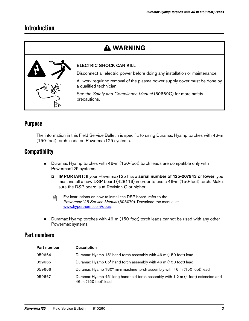## **Introduction**

## **WARNING**



#### ELECTRIC SHOCK CAN KILL

Disconnect all electric power before doing any installation or maintenance.

All work requiring removal of the plasma power supply cover must be done by a qualified technician.

See the Safety and Compliance Manual (80669C) for more safety precautions.

### **Purpose**

The information in this Field Service Bulletin is specific to using Duramax Hyamp torches with 46-m (150-foot) torch leads on Powermax125 systems.

### **Compatibility**

- Duramax Hyamp torches with 46-m (150-foot) torch leads are compatible only with Powermax125 systems.
	- IMPORTANT: If your Powermax125 has a serial number of 125-007943 or lower, you must install a new DSP board (428119) in order to use a 46-m (150-foot) torch. Make sure the DSP board is at Revision C or higher.

- $\Box$  For instructions on how to install the DSP board, refer to the Powermax125 Service Manual [\(808070\). Download the manual at](https://www.hypertherm.com/docs)  www.hypertherm.com/docs.
- Duramax Hyamp torches with 46-m (150-foot) torch leads cannot be used with any other Powermax systems.

### **Part numbers**

| Part number | <b>Description</b>                                                                                       |
|-------------|----------------------------------------------------------------------------------------------------------|
| 059664      | Duramax Hyamp 15° hand torch assembly with 46 m (150 foot) lead                                          |
| 059665      | Duramax Hyamp 85° hand torch assembly with 46 m (150 foot) lead                                          |
| 059666      | Duramax Hyamp 180° mini machine torch assembly with 46 m (150 foot) lead                                 |
| 059667      | Duramax Hyamp 45° long handheld torch assembly with 1.2 m (4 foot) extension and<br>46 m (150 foot) lead |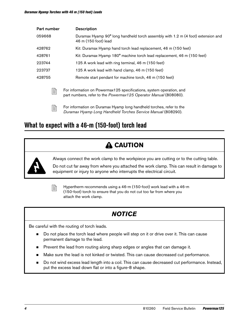| Part number | <b>Description</b>                                                                                                                       |
|-------------|------------------------------------------------------------------------------------------------------------------------------------------|
| 059668      | Duramax Hyamp 90° long handheld torch assembly with 1.2 m (4 foot) extension and<br>46 m (150 foot) lead                                 |
| 428762      | Kit: Duramax Hyamp hand torch lead replacement, 46 m (150 feet)                                                                          |
| 428761      | Kit: Duramax Hyamp 180° machine torch lead replacement, 46 m (150 feet)                                                                  |
| 223744      | 125 A work lead with ring terminal, 46 m (150 feet)                                                                                      |
| 223737      | 125 A work lead with hand clamp, 46 m (150 feet)                                                                                         |
| 428755      | Remote start pendant for machine torch, 46 m (150 feet)                                                                                  |
| B           | For information on Powermax125 specifications, system operation, and<br>part numbers, refer to the Powermax125 Operator Manual (808080). |
| 릐           | For information on Duramax Hyamp long handheld torches, refer to the                                                                     |

**Example 1** For information on Duramax Hyamp long handheld torches, refer to the *Duramax Hyamp Long Handheld Torches Service Manual* (808290).

## **What to expect with a 46-m (150-foot) torch lead**

## **A CAUTION**



Always connect the work clamp to the workpiece you are cutting or to the cutting table.

Do not cut far away from where you attached the work clamp. This can result in damage to equipment or injury to anyone who interrupts the electrical circuit.



 $\mathbb{R}$  Hypertherm recommends using a 46-m (150-foot) work lead with a 46-m (150-foot) torch to ensure that you do not cut too far from where you attach the work clamp.

## **NOTICE**

Be careful with the routing of torch leads.

- Do not place the torch lead where people will step on it or drive over it. This can cause permanent damage to the lead.
- Prevent the lead from routing along sharp edges or angles that can damage it.
- Make sure the lead is not kinked or twisted. This can cause decreased cut performance.
- Do not wind excess lead length into a coil. This can cause decreased cut performance. Instead, put the excess lead down flat or into a figure-8 shape.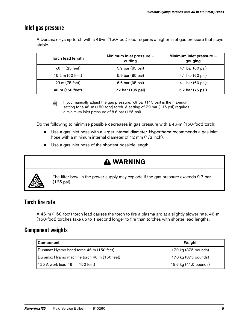### **Inlet gas pressure**

A Duramax Hyamp torch with a 46-m (150-foot) lead requires a higher inlet gas pressure that stays stable.

| Torch lead length | Minimum inlet pressure -<br>cutting | Minimum inlet pressure -<br>gouging |
|-------------------|-------------------------------------|-------------------------------------|
| 7.6 m (25 feet)   | 5.9 bar (85 psi)                    | 4.1 bar (60 psi)                    |
| 15.2 m (50 feet)  | 5.9 bar (85 psi)                    | 4.1 bar (60 psi)                    |
| 23 m (75 feet)    | 6.6 bar (95 psi)                    | 4.1 bar (60 psi)                    |
| 46 m (150 feet)   | 7.2 bar (105 psi)                   | 5.2 bar (75 psi)                    |

 $\Box$  If you manually adjust the gas pressure, 7.9 bar (115 psi) is the maximum setting for a 46-m (150-foot) torch. A setting of 7.9 bar (115 psi) requires a minimum inlet pressure of 8.6 bar (125 psi).

Do the following to minimize possible decreases in gas pressure with a 46-m (150-foot) torch:

- **Use a gas inlet hose with a larger internal diameter. Hypertherm recommends a gas inlet** hose with a minimum internal diameter of 12 mm (1/2 inch).
- Use a gas inlet hose of the shortest possible length.

## **WARNING**



The filter bowl in the power supply may explode if the gas pressure exceeds 9.3 bar (135 psi).

### **Torch fire rate**

A 46-m (150-foot) torch lead causes the torch to fire a plasma arc at a slightly slower rate. 46-m (150-foot) torches take up to 1 second longer to fire than torches with shorter lead lengths.

### **Component weights**

| Component                                   | Weight                |
|---------------------------------------------|-----------------------|
| Duramax Hyamp hand torch 46 m (150 feet)    | 17.0 kg (37.5 pounds) |
| Duramax Hyamp machine torch 46 m (150 feet) | 17.0 kg (37.5 pounds) |
| 125 A work lead 46 m (150 feet)             | 18.6 kg (41.0 pounds) |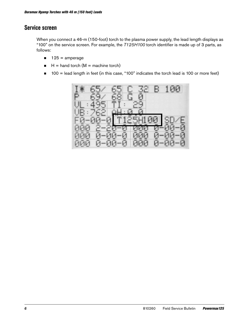### **Service screen**

When you connect a 46-m (150-foot) torch to the plasma power supply, the lead length displays as "100" on the service screen. For example, the T125H100 torch identifier is made up of 3 parts, as follows:

- $125 =$ amperage
- $H =$  hand torch (M = machine torch)
- 100 = lead length in feet (in this case, "100" indicates the torch lead is 100 or more feet)

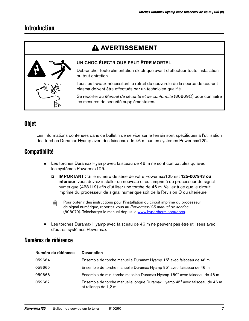## **Introduction**

## **A AVERTISSEMENT**



#### UN CHOC ÉLECTRIQUE PEUT ÊTRE MORTEL

Débrancher toute alimentation électrique avant d'effectuer toute installation ou tout entretien.

Tous les travaux nécessitant le retrait du couvercle de la source de courant plasma doivent être effectués par un technicien qualifié.

Se reporter au Manuel de sécurité et de conformité (80669C) pour connaître les mesures de sécurité supplémentaires.

### **Objet**

Les informations contenues dans ce bulletin de service sur le terrain sont spécifiques à l'utilisation des torches Duramax Hyamp avec des faisceaux de 46 m sur les systèmes Powermax125.

### **Compatibilité**

- Les torches Duramax Hyamp avec faisceau de 46 m ne sont compatibles qu'avec les systèmes Powermax125.
	- IMPORTANT : Si le numéro de série de votre Powermax125 est 125-007943 ou inférieur, vous devrez installer un nouveau circuit imprimé de processeur de signal numérique (428119) afin d'utiliser une torche de 46 m. Veillez à ce que le circuit imprimé du processeur de signal numérique soit de la Révision C ou ultérieure.

 $\mathbb{R}$  Pour obtenir des instructions pour l'installation du circuit imprimé du processeur de signal numérique, reportez-vous au Powermax125 manuel de service [\(808070\). Télécharger le manuel depuis le](https://www.hypertherm.com/docs) www.hypertherm.com/docs.

**Example 3** Les torches Duramax Hyamp avec faisceau de 46 m ne peuvent pas être utilisées avec d'autres systèmes Powermax.

### **Numéros de référence**

| Numéro de référence | <b>Description</b>                                                                                 |
|---------------------|----------------------------------------------------------------------------------------------------|
| 059664              | Ensemble de torche manuelle Duramax Hyamp 15° avec faisceau de 46 m                                |
| 059665              | Ensemble de torche manuelle Duramax Hyamp 85° avec faisceau de 46 m                                |
| 059666              | Ensemble de mini torche machine Duramax Hyamp 180° avec faisceau de 46 m                           |
| 059667              | Ensemble de torche manuelle longue Duramax Hyamp 45° avec faisceau de 46 m<br>et rallonge de 1,2 m |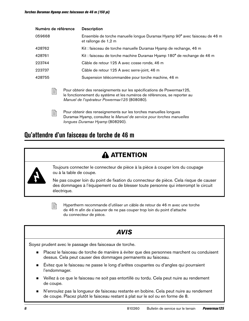| Numéro de référence | <b>Description</b>                                                                                 |
|---------------------|----------------------------------------------------------------------------------------------------|
| 059668              | Ensemble de torche manuelle longue Duramax Hyamp 90° avec faisceau de 46 m<br>et rallonge de 1,2 m |
| 428762              | Kit: faisceau de torche manuelle Duramax Hyamp de rechange, 46 m                                   |
| 428761              | Kit: faisceau de torche machine Duramax Hyamp 180° de rechange de 46 m                             |
| 223744              | Câble de retour 125 A avec cosse ronde, 46 m                                                       |
| 223737              | Câble de retour 125 A avec serre-joint, 46 m                                                       |
| 428755              | Suspension télécommandée pour torche machine, 46 m                                                 |
|                     |                                                                                                    |

**Pour obtenir des renseignements sur les spécifications de Powermax125,** le fonctionnement du système et les numéros de références, se reporter au Manuel de l'opérateur Powermax125 (808080).



 $\mathbb{R}$  Pour obtenir des renseignements sur les torches manuelles longues Duramax Hyamp, consultez le Manuel de service pour torches manuelles longues Duramax Hyamp (808290).

## **Qu'attendre d'un faisceau de torche de 46 m**

## **ATTENTION**



Toujours connecter le connecteur de pièce à la pièce à couper lors du coupage ou à la table de coupe.

Ne pas couper loin du point de fixation du connecteur de pièce. Cela risque de causer des dommages à l'équipement ou de blesser toute personne qui interrompt le circuit électrique.

 $\Xi$  Hypertherm recommande d'utiliser un câble de retour de 46 m avec une torche de 46 m afin de s'assurer de ne pas couper trop loin du point d'attache du connecteur de pièce.

## **AVIS**

Soyez prudent avec le passage des faisceaux de torche.

- Placez le faisceau de torche de manière à éviter que des personnes marchent ou conduisent dessus. Cela peut causer des dommages permanents au faisceau.
- Évitez que le faisceau ne passe le long d'arêtes coupantes ou d'angles qui pourraient l'endommager.
- Veillez à ce que le faisceau ne soit pas entortillé ou tordu. Cela peut nuire au rendement de coupe.
- N'enroulez pas la longueur de faisceau restante en bobine. Cela peut nuire au rendement de coupe. Placez plutôt le faisceau restant à plat sur le sol ou en forme de 8.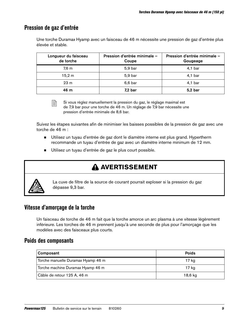### **Pression de gaz d'entrée**

Une torche Duramax Hyamp avec un faisceau de 46 m nécessite une pression de gaz d'entrée plus élevée et stable.

| Longueur du faisceau<br>de torche | Pression d'entrée minimale -<br>Coupe | Pression d'entrée minimale -<br>Gougeage |
|-----------------------------------|---------------------------------------|------------------------------------------|
| 7,6 m                             | $5,9$ bar                             | $4,1$ bar                                |
| 15,2 m                            | 5,9 bar                               | $4,1$ bar                                |
| 23 <sub>m</sub>                   | 6,6 bar                               | $4,1$ bar                                |
| 46 m                              | $7,2$ bar                             | $5,2$ bar                                |

 $\Box$  Si vous réglez manuellement la pression du gaz, le réglage maximal est de 7,9 bar pour une torche de 46 m. Un réglage de 7,9 bar nécessite une pression d'entrée minimale de 8,6 bar.

Suivez les étapes suivantes afin de minimiser les baisses possibles de la pression de gaz avec une torche de 46 m :

- Utilisez un tuyau d'entrée de gaz dont le diamètre interne est plus grand. Hypertherm recommande un tuyau d'entrée de gaz avec un diamètre interne minimum de 12 mm.
- Utilisez un tuyau d'entrée de gaz le plus court possible.

## **A AVERTISSEMENT**



La cuve de filtre de la source de courant pourrait exploser si la pression du gaz dépasse 9,3 bar.

### **Vitesse d'amorçage de la torche**

Un faisceau de torche de 46 m fait que la torche amorce un arc plasma à une vitesse légèrement inférieure. Les torches de 46 m prennent jusqu'à une seconde de plus pour l'amorçage que les modèles avec des faisceaux plus courts.

### **Poids des composants**

| Composant                          | <b>Poids</b> |
|------------------------------------|--------------|
| Torche manuelle Duramax Hyamp 46 m | 17 kg        |
| Torche machine Duramax Hyamp 46 m  | 17 kg        |
| Câble de retour 125 A, 46 m        | 18,6 ka      |